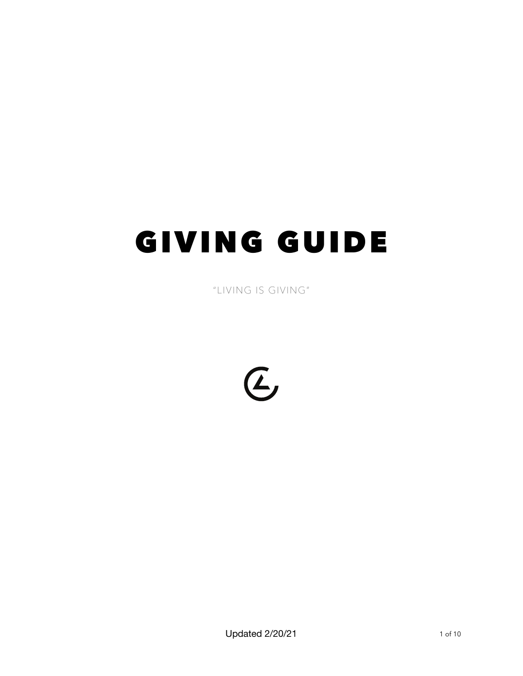# GIVING GUIDE

"LIVING IS GIVING"

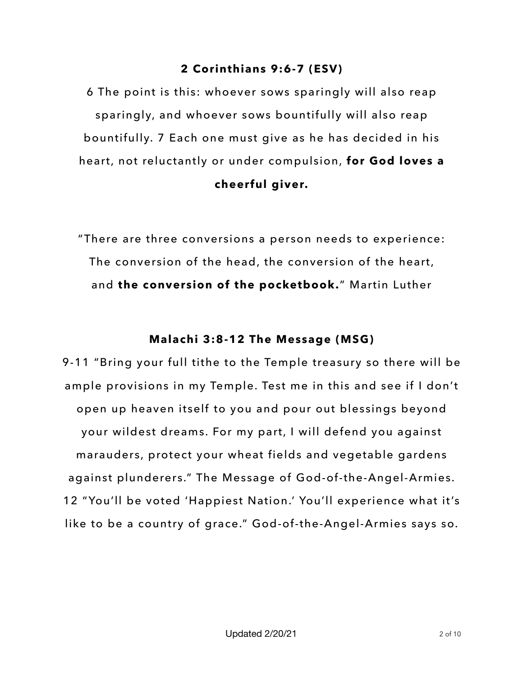### **2 Corinthians 9:6-7 (ESV)**

6 The point is this: whoever sows sparingly will also reap sparingly, and whoever sows bountifully will also reap bountifully. 7 Each one must give as he has decided in his heart, not reluctantly or under compulsion, **for God loves a cheerful giver.**

"There are three conversions a person needs to experience: The conversion of the head, the conversion of the heart, and **the conversion of the pocketbook.**" Martin Luther

### **Malachi 3:8-12 The Message (MSG)**

9-11 "Bring your full tithe to the Temple treasury so there will be ample provisions in my Temple. Test me in this and see if I don't open up heaven itself to you and pour out blessings beyond your wildest dreams. For my part, I will defend you against marauders, protect your wheat fields and vegetable gardens against plunderers." The Message of God-of-the-Angel-Armies. 12 "You'll be voted 'Happiest Nation.' You'll experience what it's like to be a country of grace." God-of-the-Angel-Armies says so.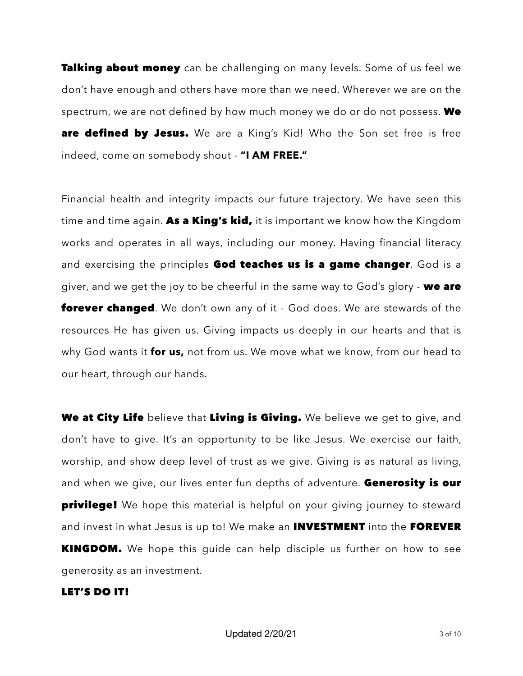**Talking about money** can be challenging on many levels. Some of us feel we don't have enough and others have more than we need. Wherever we are on the spectrum, we are not defined by how much money we do or do not possess. We are defined by Jesus. We are a King's Kid! Who the Son set free is free indeed, come on somebody shout - **"I AM FREE."**

Financial health and integrity impacts our future trajectory. We have seen this time and time again. As a King's kid, it is important we know how the Kingdom works and operates in all ways, including our money. Having financial literacy and exercising the principles God teaches us is a game changer. God is a giver, and we get the joy to be cheerful in the same way to God's glory - we are **forever changed**. We don't own any of it - God does. We are stewards of the resources He has given us. Giving impacts us deeply in our hearts and that is why God wants it **for us,** not from us. We move what we know, from our head to our heart, through our hands.

We at City Life believe that Living is Giving. We believe we get to give, and don't have to give. It's an opportunity to be like Jesus. We exercise our faith, worship, and show deep level of trust as we give. Giving is as natural as living, and when we give, our lives enter fun depths of adventure. Generosity is our **privilege!** We hope this material is helpful on your giving journey to steward and invest in what Jesus is up to! We make an **INVESTMENT** into the FOREVER **KINGDOM.** We hope this guide can help disciple us further on how to see generosity as an investment.

#### LET'S DO IT!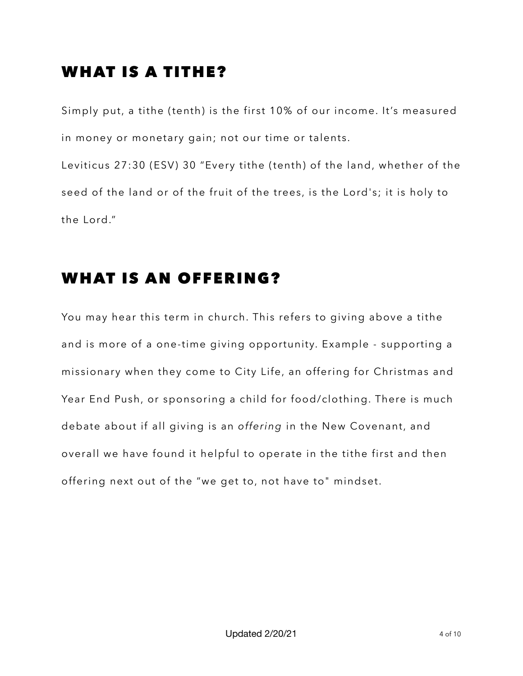### WHAT IS A TITHE?

Simply put, a tithe (tenth) is the first 10% of our income. It's measured in money or monetary gain; not our time or talents. Leviticus 27:30 (ESV) 30 "Every tithe (tenth) of the land, whether of the seed of the land or of the fruit of the trees, is the Lord's; it is holy to the Lord."

### WHAT IS AN OFFERING?

You may hear this term in church. This refers to giving above a tithe and is more of a one-time giving opportunity. Example - supporting a missionary when they come to City Life, an offering for Christmas and Year End Push, or sponsoring a child for food/clothing. There is much debate about if all giving is an *offering* in the New Covenant, and overall we have found it helpful to operate in the tithe first and then offering next out of the "we get to, not have to" mindset.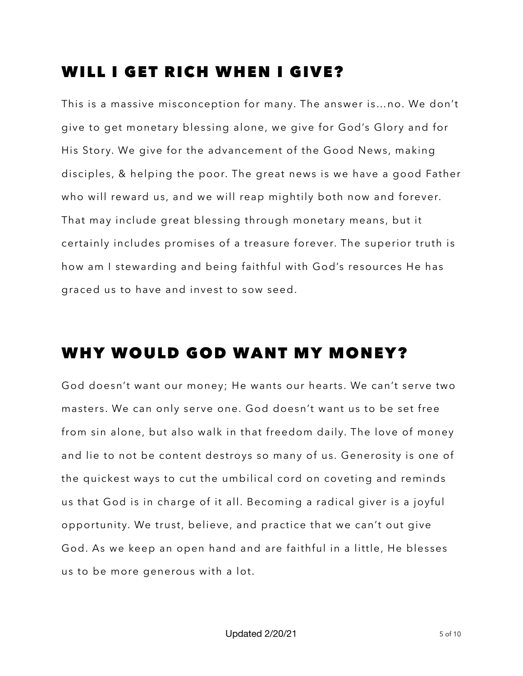### WILL I GET RICH WHEN I GIVE?

This is a massive misconception for many. The answer is…no. We don't give to get monetary blessing alone, we give for God's Glory and for His Story. We give for the advancement of the Good News, making disciples, & helping the poor. The great news is we have a good Father who will reward us, and we will reap mightily both now and forever. That may include great blessing through monetary means, but it certainly includes promises of a treasure forever. The superior truth is how am I stewarding and being faithful with God's resources He has graced us to have and invest to sow seed.

### WHY WOULD GOD WANT MY MONEY?

God doesn't want our money; He wants our hearts. We can't serve two masters. We can only serve one. God doesn't want us to be set free from sin alone, but also walk in that freedom daily. The love of money and lie to not be content destroys so many of us. Generosity is one of the quickest ways to cut the umbilical cord on coveting and reminds us that God is in charge of it all. Becoming a radical giver is a joyful opportunity. We trust, believe, and practice that we can't out give God. As we keep an open hand and are faithful in a little, He blesses us to be more generous with a lot.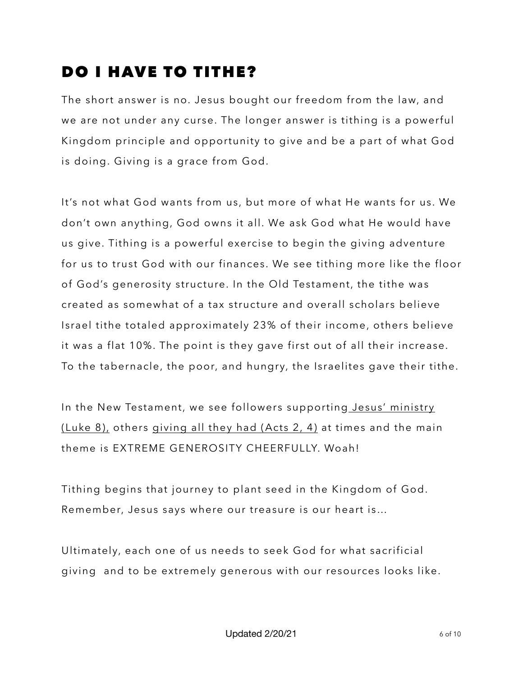## DO I HAVE TO TITHE?

The short answer is no. Jesus bought our freedom from the law, and we are not under any curse. The longer answer is tithing is a powerful Kingdom principle and opportunity to give and be a part of what God is doing. Giving is a grace from God.

It's not what God wants from us, but more of what He wants for us. We don't own anything, God owns it all. We ask God what He would have us give. Tithing is a powerful exercise to begin the giving adventure for us to trust God with our finances. We see tithing more like the floor of God's generosity structure. In the Old Testament, the tithe was created as somewhat of a tax structure and overall scholars believe Israel tithe totaled approximately 23% of their income, others believe it was a flat 10%. The point is they gave first out of all their increase. To the tabernacle, the poor, and hungry, the Israelites gave their tithe.

In the New Testament, we see followers supporting [Jesus' ministry](https://www.biblegateway.com/passage/?search=luke%208:1-3&version=ESV;MSG)  [\(Luke 8\),](https://www.biblegateway.com/passage/?search=luke%208:1-3&version=ESV;MSG) others [giving all they had \(Acts 2, 4\)](https://www.biblegateway.com/passage/?search=acts%202:45,%20acts%204:34-35&version=ESV;MSG) at times and the main theme is EXTREME GENEROSITY CHEERFULLY. Woah!

Tithing begins that journey to plant seed in the Kingdom of God. Remember, Jesus says where our treasure is our heart is…

Ultimately, each one of us needs to seek God for what sacrificial giving and to be extremely generous with our resources looks like.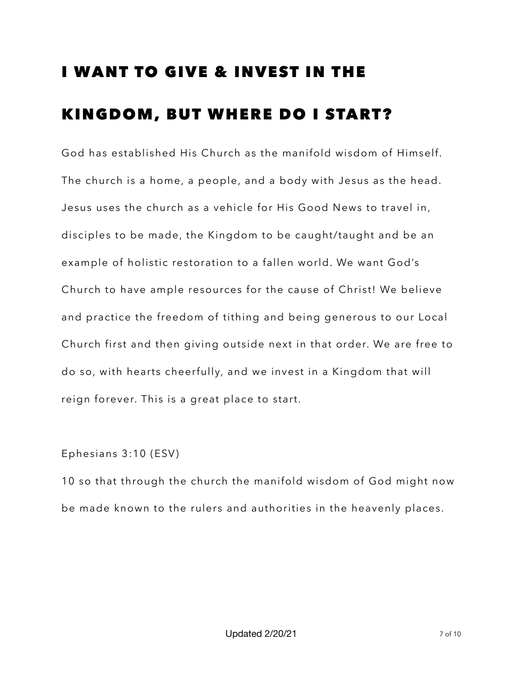## I WANT TO GIVE & INVEST IN THE KINGDOM, BUT WHERE DO I START?

God has established His Church as the manifold wisdom of Himself. The church is a home, a people, and a body with Jesus as the head. Jesus uses the church as a vehicle for His Good News to travel in, disciples to be made, the Kingdom to be caught/taught and be an example of holistic restoration to a fallen world. We want God's Church to have ample resources for the cause of Christ! We believe and practice the freedom of tithing and being generous to our Local Church first and then giving outside next in that order. We are free to do so, with hearts cheerfully, and we invest in a Kingdom that will reign forever. This is a great place to start.

### Ephesians 3:10 (ESV)

10 so that through the church the manifold wisdom of God might now be made known to the rulers and authorities in the heavenly places.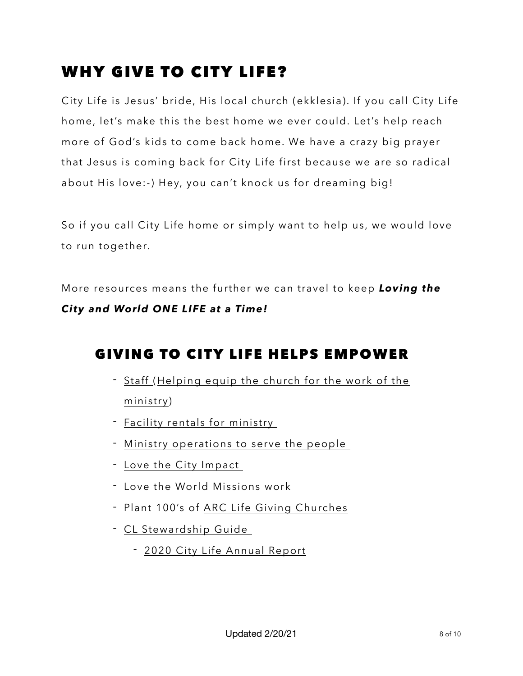## WHY GIVE TO CITY LIFE?

City Life is Jesus' bride, His local church (ekklesia). If you call City Life home, let's make this the best home we ever could. Let's help reach more of God's kids to come back home. We have a crazy big prayer that Jesus is coming back for City Life first because we are so radical about His love:-) Hey, you can't knock us for dreaming big!

So if you call City Life home or simply want to help us, we would love to run together.

More resources means the further we can travel to keep *Loving the City and World ONE LIFE at a Time!* 

### GIVING TO CITY LIFE HELPS EMPOWER

- [Staff](https://www.biblegateway.com/passage/?search=1%20Timothy%205:16-18&version=ESV;MSG) ([Helping equip the church for the work of the](https://www.biblegateway.com/passage/?search=Ephesians%204:12-16&version=ESV;MSG)  [ministry](https://www.biblegateway.com/passage/?search=Ephesians%204:12-16&version=ESV;MSG))
- [Facility rentals for ministry](https://youtu.be/It05aQUrmSQ)
- [Ministry operations to serve the people](https://www.biblegateway.com/passage/?search=Luke+8%3A1-3&version=ESV)
- [Love the City Impact](https://www.youtube.com/watch?v=FElzpEhO2T4&t=34s)
- Love the World Missions work
- Plant 100's of [ARC Life Giving Churches](https://www.arcchurches.com/)
- [CL Stewardship Guide](https://drive.google.com/file/d/19O0uRfB34nXjqkBPWbFx2F1x43P55CHn/view?usp=sharing) 
	- [2020 City Life Annual Report](https://www.citylifelansing.online/2020-year-end-report)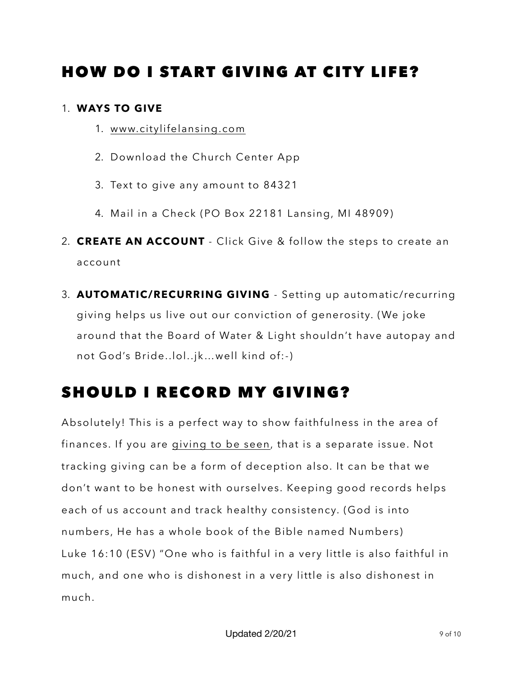### HOW DO I START GIVING AT CITY LIFE?

### 1. **WAYS TO GIVE**

- 1. [www.citylifelansing.com](http://www.citylifelansing.com)
- 2. Download the Church Center App
- 3. Text to give any amount to 84321
- 4. Mail in a Check (PO Box 22181 Lansing, MI 48909)
- 2. **CREATE AN ACCOUNT**  Click Give & follow the steps to create an account
- 3. **AUTOMATIC/RECURRING GIVING** Setting up automatic/recurring giving helps us live out our conviction of generosity. (We joke around that the Board of Water & Light shouldn't have autopay and not God's Bride..lol..jk…well kind of:-)

## SHOULD I RECORD MY GIVING?

Absolutely! This is a perfect way to show faithfulness in the area of finances. If you are [giving to be seen](https://www.biblegateway.com/passage/?search=Matthew%206:2-4&version=ESV), that is a separate issue. Not tracking giving can be a form of deception also. It can be that we don't want to be honest with ourselves. Keeping good records helps each of us account and track healthy consistency. (God is into numbers, He has a whole book of the Bible named Numbers) Luke 16:10 (ESV) "One who is faithful in a very little is also faithful in much, and one who is dishonest in a very little is also dishonest in much.